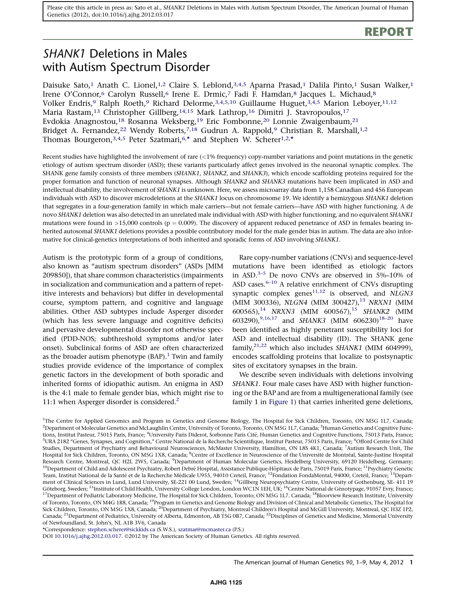## REPORT

# SHANK1 Deletions in Males with Autism Spectrum Disorder

Daisuke Sato,<sup>1</sup> Anath C. Lionel,<sup>1,2</sup> Claire S. Leblond,<sup>3,4,5</sup> Aparna Prasad,<sup>1</sup> Dalila Pinto,<sup>1</sup> Susan Walker,<sup>1</sup> Irene O'Connor,<sup>6</sup> Carolyn Russell,<sup>6</sup> Irene E. Drmic,<sup>7</sup> Fadi F. Hamdan,<sup>8</sup> Jacques L. Michaud,<sup>8</sup> Volker Endris,<sup>9</sup> Ralph Roeth,<sup>9</sup> Richard Delorme,<sup>3,4,5,10</sup> Guillaume Huguet,<sup>3,4,5</sup> Marion Leboyer,<sup>11,12</sup> Maria Rastam,<sup>13</sup> Christopher Gillberg,<sup>14,15</sup> Mark Lathrop,<sup>16</sup> Dimitri J. Stavropoulos,<sup>17</sup> Evdokia Anagnostou,18 Rosanna Weksberg,19 Eric Fombonne,20 Lonnie Zwaigenbaum,21 Bridget A. Fernandez,<sup>22</sup> Wendy Roberts,<sup>7,18</sup> Gudrun A. Rappold,<sup>9</sup> Christian R. Marshall,<sup>1,2</sup> Thomas Bourgeron,<sup>3,4,5</sup> Peter Szatmari,<sup>6,\*</sup> and Stephen W. Scherer<sup>1,2,\*</sup>

Recent studies have highlighted the involvement of rare (<1% frequency) copy-number variations and point mutations in the genetic etiology of autism spectrum disorder (ASD); these variants particularly affect genes involved in the neuronal synaptic complex. The SHANK gene family consists of three members (SHANK1, SHANK2, and SHANK3), which encode scaffolding proteins required for the proper formation and function of neuronal synapses. Although SHANK2 and SHANK3 mutations have been implicated in ASD and intellectual disability, the involvement of SHANK1 is unknown. Here, we assess microarray data from 1,158 Canadian and 456 European individuals with ASD to discover microdeletions at the SHANK1 locus on chromosome 19. We identify a hemizygous SHANK1 deletion that segregates in a four-generation family in which male carriers—but not female carriers—have ASD with higher functioning. A de novo SHANK1 deletion was also detected in an unrelated male individual with ASD with higher functioning, and no equivalent SHANK1 mutations were found in  $>15,000$  controls (p = 0.009). The discovery of apparent reduced penetrance of ASD in females bearing inherited autosomal SHANK1 deletions provides a possible contributory model for the male gender bias in autism. The data are also informative for clinical-genetics interpretations of both inherited and sporadic forms of ASD involving SHANK1.

Autism is the prototypic form of a group of conditions, also known as ''autism spectrum disorders'' (ASDs [MIM 209850]), that share common characteristics (impairments in socialization and communication and a pattern of repetitive interests and behaviors) but differ in developmental course, symptom pattern, and cognitive and language abilities. Other ASD subtypes include Asperger disorder (which has less severe language and cognitive deficits) and pervasive developmental disorder not otherwise specified (PDD-NOS; subthreshold symptoms and/or later onset). Subclinical forms of ASD are often characterized as the broader autism phenotype  $(BAP)$ .<sup>[1](#page-6-0)</sup> Twin and family studies provide evidence of the importance of complex genetic factors in the development of both sporadic and inherited forms of idiopathic autism. An enigma in ASD is the 4:1 male to female gender bias, which might rise to 11:1 when Asperger disorder is considered.<sup>[2](#page-6-0)</sup>

Rare copy-number variations (CNVs) and sequence-level mutations have been identified as etiologic factors in ASD. $3-5$  De novo CNVs are observed in 5%–10% of ASD cases. $6-10$  A relative enrichment of CNVs disrupting synaptic complex genes<sup>11,12</sup> is observed, and  $NLGN3$ (MIM 300336), NLGN4 (MIM 300427),<sup>[13](#page-6-0)</sup> NRXN1 (MIM 600565),[14](#page-6-0) NRXN3 (MIM 600567),[15](#page-6-0) SHANK2 (MIM 603290),<sup>[9,16,17](#page-6-0)</sup> and *SHANK3* (MIM 606230)<sup>18-20</sup> have been identified as highly penetrant susceptibility loci for ASD and intellectual disability (ID). The SHANK gene family, $2^{1,22}$  which also includes SHANK1 (MIM 604999), encodes scaffolding proteins that localize to postsynaptic sites of excitatory synapses in the brain.

We describe seven individuals with deletions involving SHANK1. Four male cases have ASD with higher functioning or the BAP and are from a multigenerational family (see family 1 in [Figure 1](#page-1-0)) that carries inherited gene deletions,

\*Correspondence: [stephen.scherer@sickkids.ca](mailto:stephen.scherer@sickkids.ca) (S.W.S.), [szatmar@mcmaster.ca](mailto:szatmar@mcmaster.ca) (P.S.)

DOI [10.1016/j.ajhg.2012.03.017.](http://dx.doi.org/10.1016/j.ajhg.2012.03.017) ©2012 by The American Society of Human Genetics. All rights reserved.

<sup>&</sup>lt;sup>1</sup>The Centre for Applied Genomics and Program in Genetics and Genome Biology, The Hospital for Sick Children, Toronto, ON M5G 1L7, Canada; <sup>2</sup>Department of Molecular Genetics and McLaughlin Centre, University of Toronto, Toronto, ON M5G 1L7, Canada; <sup>3</sup>Human Genetics and Cognitive Functions, Institut Pasteur, 75015 Paris, France; <sup>4</sup>University Paris Diderot, Sorbonne Paris Cité, Human Genetics and Cognitive Functions, 75013 Paris, France;  $^5$ URA 2182 "Genes, Synapses, and Cognition," Centre National de la Recherche Scientifique, Institut Pasteur, 75015 Paris, France;  $^6$ Offord Centre for Child Studies, Department of Psychiatry and Behavioural Neurosciences, McMaster University, Hamilton, ON L8S 4K1, Canada; <sup>7</sup>Autism Research Unit, The Hospital for Sick Children, Toronto, ON M5G 1X8, Canada; <sup>8</sup>Centre of Excellence in Neuroscience of the Université de Montréal, Sainte-Justine Hospital Research Centre, Montreal, QC H2L 2W5, Canada; <sup>9</sup>Department of Human Molecular Genetics, Heidelberg University, 69120 Heidelberg, Germany; <sup>10</sup>Department of Child and Adolescent Psychiatry, Robert Debré Hospital, Assistance Publique-Hôpitaux de Paris, 75019 Paris, France; <sup>11</sup>Psychiatry Genetic Team, Institut National de la Santé et de la Recherche Médicale U955, 94010 Creteil, France; <sup>12</sup>Fondation FondaMental, 94000, Creteil, France; <sup>13</sup>Department of Clinical Sciences in Lund, Lund University, SE-221 00 Lund, Sweden; 14Gillberg Neuropsychiatry Centre, University of Gothenburg, SE- 411 19 Göteborg, Sweden; <sup>15</sup>Institute of Child Health, University College London, London WC1N 1EH, UK; <sup>16</sup>Centre National de Génotypage, 91057 Evry, France;  $^{17}$ Department of Pediatric Laboratory Medicine, The Hospital for Sick Children, Toronto, ON M5G 1L7. Canada;  $^{18}$ Bloorview Research Institute, University of Toronto, Toronto, ON M4G 1R8, Canada; 19Program in Genetics and Genome Biology and Division of Clinical and Metabolic Genetics, The Hospital for Sick Children, Toronto, ON M5G 1X8, Canada; <sup>20</sup>Department of Psychiatry, Montreal Children's Hospital and McGill University, Montreal, QC H3Z 1P2, Canada; 21Department of Pediatrics, University of Alberta, Edmonton, AB T5G 0B7, Canada; 22Disciplines of Genetics and Medicine, Memorial University of Newfoundland, St. John's, NL A1B 3V6, Canada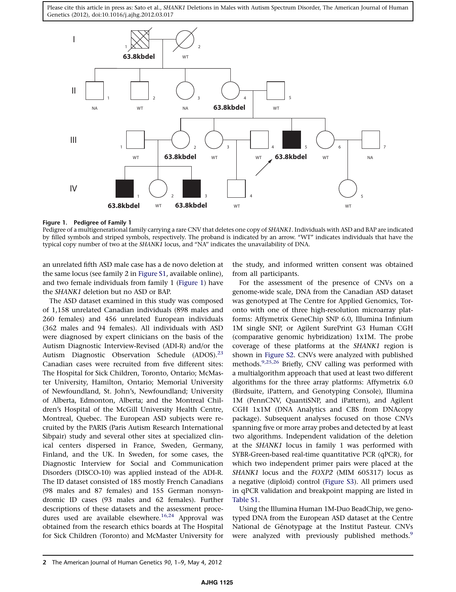<span id="page-1-0"></span>

Figure 1. Pedigree of Family 1

Pedigree of a multigenerational family carrying a rare CNV that deletes one copy of SHANK1. Individuals with ASD and BAP are indicated by filled symbols and striped symbols, respectively. The proband is indicated by an arrow. ''WT'' indicates individuals that have the typical copy number of two at the SHANK1 locus, and ''NA'' indicates the unavailability of DNA.

an unrelated fifth ASD male case has a de novo deletion at the same locus (see family 2 in [Figure S1](#page-6-0), available online), and two female individuals from family 1 (Figure 1) have the SHANK1 deletion but no ASD or BAP.

The ASD dataset examined in this study was composed of 1,158 unrelated Canadian individuals (898 males and 260 females) and 456 unrelated European individuals (362 males and 94 females). All individuals with ASD were diagnosed by expert clinicians on the basis of the Autism Diagnostic Interview-Revised (ADI-R) and/or the Autism Diagnostic Observation Schedule (ADOS).<sup>[23](#page-7-0)</sup> Canadian cases were recruited from five different sites: The Hospital for Sick Children, Toronto, Ontario; McMaster University, Hamilton, Ontario; Memorial University of Newfoundland, St. John's, Newfoundland; University of Alberta, Edmonton, Alberta; and the Montreal Children's Hospital of the McGill University Health Centre, Montreal, Quebec. The European ASD subjects were recruited by the PARIS (Paris Autism Research International Sibpair) study and several other sites at specialized clinical centers dispersed in France, Sweden, Germany, Finland, and the UK. In Sweden, for some cases, the Diagnostic Interview for Social and Communication Disorders (DISCO-10) was applied instead of the ADI-R. The ID dataset consisted of 185 mostly French Canadians (98 males and 87 females) and 155 German nonsyndromic ID cases (93 males and 62 females). Further descriptions of these datasets and the assessment proce-dures used are available elsewhere.<sup>[16,24](#page-6-0)</sup> Approval was obtained from the research ethics boards at The Hospital for Sick Children (Toronto) and McMaster University for

the study, and informed written consent was obtained from all participants.

For the assessment of the presence of CNVs on a genome-wide scale, DNA from the Canadian ASD dataset was genotyped at The Centre for Applied Genomics, Toronto with one of three high-resolution microarray platforms: Affymetrix GeneChip SNP 6.0, Illumina Infinium 1M single SNP, or Agilent SurePrint G3 Human CGH (comparative genomic hybridization) 1x1M. The probe coverage of these platforms at the SHANK1 region is shown in [Figure S2](#page-6-0). CNVs were analyzed with published methods. $9,25,26$  Briefly, CNV calling was performed with a multialgorithm approach that used at least two different algorithms for the three array platforms: Affymetrix 6.0 (Birdsuite, iPattern, and Genotyping Console), Illumina 1M (PennCNV, QuantiSNP, and iPattern), and Agilent CGH 1x1M (DNA Analytics and CBS from DNAcopy package). Subsequent analyses focused on those CNVs spanning five or more array probes and detected by at least two algorithms. Independent validation of the deletion at the SHANK1 locus in family 1 was performed with SYBR-Green-based real-time quantitative PCR (qPCR), for which two independent primer pairs were placed at the SHANK1 locus and the FOXP2 (MIM 605317) locus as a negative (diploid) control [\(Figure S3\)](#page-6-0). All primers used in qPCR validation and breakpoint mapping are listed in [Table S1](#page-6-0).

Using the Illumina Human 1M-Duo BeadChip, we genotyped DNA from the European ASD dataset at the Centre National de Génotypage at the Institut Pasteur. CNVs were analyzed with previously published methods.<sup>[9](#page-6-0)</sup>

<sup>2</sup> The American Journal of Human Genetics 90, 1–9, May 4, 2012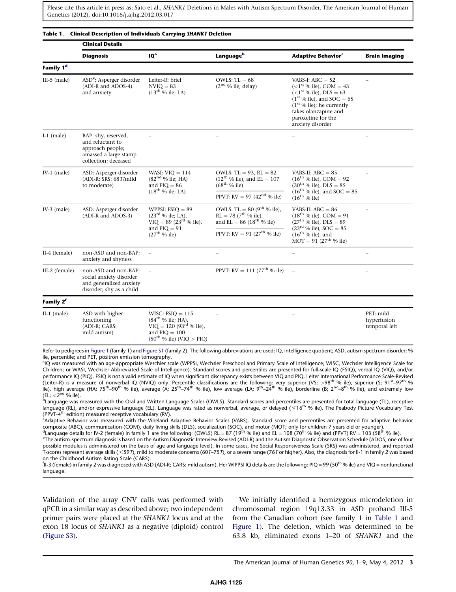#### <span id="page-2-0"></span>Table 1. Clinical Description of Individuals Carrying SHANK1 Deletion

|                       | <b>Clinical Details</b>                                                                                      |                                                                                                                                 |                                                                                                                                    |                                                                                                                                                                                                                 |                                           |
|-----------------------|--------------------------------------------------------------------------------------------------------------|---------------------------------------------------------------------------------------------------------------------------------|------------------------------------------------------------------------------------------------------------------------------------|-----------------------------------------------------------------------------------------------------------------------------------------------------------------------------------------------------------------|-------------------------------------------|
|                       | <b>Diagnosis</b>                                                                                             | IQ <sup>a</sup>                                                                                                                 | Language <sup>b</sup>                                                                                                              | <b>Adaptive Behavior</b> <sup>c</sup>                                                                                                                                                                           | <b>Brain Imaging</b>                      |
| Family 1 <sup>d</sup> |                                                                                                              |                                                                                                                                 |                                                                                                                                    |                                                                                                                                                                                                                 |                                           |
| III-5 $(male)$        | ASD <sup>e</sup> : Asperger disorder<br>(ADI-R and ADOS-4)<br>and anxiety                                    | Leiter-R: brief<br>$NVIO = 83$<br>$(13^{th} %$ % ile; LA)                                                                       | OWLS: $TL = 68$<br>(2 <sup>nd</sup> % ile; delay)                                                                                  | VABS-I: $ABC = 52$<br>$(<1st %$ ile), COM = 43<br>$(<1st %$ ile), DLS = 63<br>$(1^{st} %$ % ile), and SOC = 65<br>$(1st %$ ile); he currently<br>takes olanzapine and<br>paroxetine for the<br>anxiety disorder |                                           |
| $I-1$ (male)          | BAP: shy, reserved,<br>and reluctant to<br>approach people;<br>amassed a large stamp<br>collection; deceased |                                                                                                                                 |                                                                                                                                    |                                                                                                                                                                                                                 |                                           |
| $IV-1$ (male)         | ASD: Asperger disorder<br>$(ADI-R; SRS: 68T/mild)$<br>to moderate)                                           | WASI: $VIQ = 114$<br>$(82nd %$ ile; HA)<br>and $PIQ = 86$<br>$(18th %$ ile; LA)                                                 | OWLS: $TL = 93$ , $RL = 82$<br>$(12^{th} %$ ile), and EL = 107<br>$(68^{th}\%$ ile)<br>PPVT: RV = 97 (42 <sup>nd</sup> % ile)      | VABS-II: $ABC = 85$<br>$(16^{th}$ % ile), COM = 92<br>$(30^{th}$ % ile), DLS = 85<br>$(16^{th}$ % ile), and SOC = 85<br>$(16^{th} %$ % ile)                                                                     |                                           |
| $IV-3$ (male)         | ASD: Asperger disorder<br>(ADI-R and ADOS-3)                                                                 | WPPSI: $FSIQ = 89$<br>$(23^{\text{rd}} %$ % ile; LA),<br>$VIQ = 89 (23rd % ile),$<br>and $PIO = 91$<br>(27 <sup>th</sup> % ile) | OWLS: TL = $80(9^{th}\%$ ile).<br>$RL = 78$ (7 <sup>th</sup> % ile),<br>and $EL = 86 (18th %$ ile)<br>PPVT: $RV = 91 (27th % ile)$ | VABS-II: $ABC = 86$<br>$(18^{th} %$ ile), COM = 91<br>$(27th %$ ile), DLS = 89<br>$(23rd %$ ile). SOC = 85<br>$(16th %$ ile), and<br>$MOT = 91 (27th % ile)$                                                    |                                           |
| II-4 (female)         | non-ASD and non-BAP;<br>anxiety and shyness                                                                  | $\equiv$                                                                                                                        |                                                                                                                                    | $\equiv$                                                                                                                                                                                                        | $\equiv$                                  |
| III-2 (female)        | non-ASD and non-BAP;<br>social anxiety disorder<br>and generalized anxiety<br>disorder; shy as a child       | $\overline{\phantom{a}}$                                                                                                        | PPVT: $RV = 111 (77th % ile)$                                                                                                      |                                                                                                                                                                                                                 |                                           |
| Family 2 <sup>f</sup> |                                                                                                              |                                                                                                                                 |                                                                                                                                    |                                                                                                                                                                                                                 |                                           |
| $II-1$ (male)         | ASD with higher<br>functioning<br>(ADI-R; CARS:<br>mild autism)                                              | WISC: $FSIQ = 115$<br>$(84th %$ ile; HA),<br>$VIO = 120 (93rd % ile),$<br>and $PIQ = 100$<br>$(50^{th}$ % ile) (VIQ > PIQ)      |                                                                                                                                    |                                                                                                                                                                                                                 | PET: mild<br>hyperfusion<br>temporal left |

Refer to pedigrees in [Figure 1](#page-1-0) (family 1) and [Figure S1](#page-6-0) (family 2). The following abbreviations are used: IQ, intelligence quotient; ASD, autism spectrum disorder; % ile, percentile; and PET, positron emission tomography.

<sup>a</sup>lQ was measured with an age-appropriate Weschler scale (WPPSI, Wechsler Preschool and Primary Scale of Intelligence; WISC, Wechsler Intelligence Scale for Children; or WASI, Wechsler Abbreviated Scale of Intelligence). Standard scores and percentiles are presented for full-scale IQ (FSIQ), verbal IQ (VIQ), and/or performance IQ (PIQ). FSIQ is not a valid estimate of IQ when significant discrepancy exists between VIQ and PIQ. Leiter International Performance Scale-Revised (Leiter-R) is a measure of nonverbal IQ (NVIQ) only. Percentile classifications are the following: very superior (VS; >98<sup>th %</sup> ile), superior (S; 91<sup>st</sup>–97<sup>th %</sup> ile), high average (HA; 75<sup>th</sup>–90<sup>th</sup> % ile), average (A; 25<sup>th</sup>–74<sup>th</sup> % ile), low average (LA; 9<sup>th</sup>–24<sup>th</sup> % ile), borderline (B; 2<sup>nd</sup>–8<sup>th %</sup> ile), and extremely low (EL;  $<$ 2<sup>nd</sup> % ile).

.<br><sup>b</sup>Language was measured with the Oral and Written Language Scales (OWLS). Standard scores and percentiles are presented for total language (TL), receptive language (RL), and/or expressive language (EL). Language was rated as nonverbal, average, or delayed ( $\leq 16^{th}$  % ile). The Peabody Picture Vocabulary Test (PPVT-4<sup>th</sup> edition) measured receptive vocabulary (RV).

<sup>2</sup>Adaptive Behavior was measured with the Vineland Adaptive Behavior Scales (VABS). Standard score and percentiles are presented for adaptive behavior

composite (ABC), communication (COM), daily living skills (DLS), socialization (SOC), and motor (MOT; only for children 7 years old or younger).<br><sup>4</sup>Language details for IV-2 (female) in family 1 are the following: (OWLS) R

The autism-spectrum diagnosis is based on the Autism Diagnostic Interview-Revised (ADI-R) and the Autism Diagnostic Observation Schedule (ADOS; one of four possible modules is administered on the basis of age and language level). In some cases, the Social Responsiveness Scale (SRS) was administered, and reported T-scores represent average skills (<59T), mild to moderate concerns (60T-75T), or a severe range (76T or higher). Also, the diagnosis for II-1 in family 2 was based on the Childhood Autism Rating Scale (CARS).

<sup>f</sup>II-3 (female) in family 2 was diagnosed with ASD (ADI-R; CARS: mild autism). Her WIPPSI IQ details are the following: PIQ = 99 (50<sup>th</sup> % ile) and VIQ = nonfunctional language.

Validation of the array CNV calls was performed with qPCR in a similar way as described above; two independent primer pairs were placed at the SHANK1 locus and at the exon 18 locus of SHANK1 as a negative (diploid) control ([Figure S3](#page-6-0)).

We initially identified a hemizygous microdeletion in chromosomal region 19q13.33 in ASD proband III-5 from the Canadian cohort (see family 1 in Table 1 and [Figure 1](#page-1-0)). The deletion, which was determined to be 63.8 kb, eliminated exons 1–20 of SHANK1 and the

The American Journal of Human Genetics 90, 1–9, May 4, 2012 3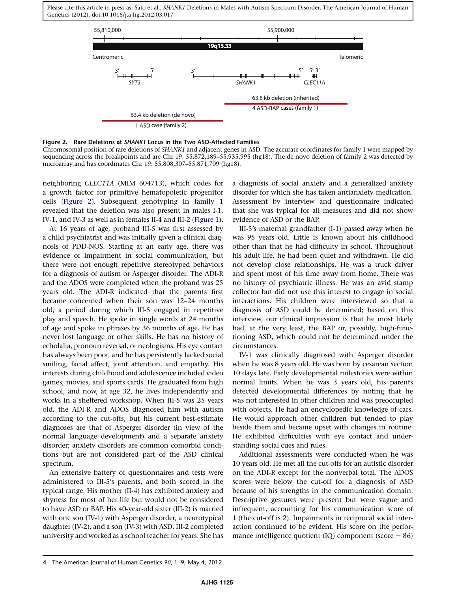<span id="page-3-0"></span>

Figure 2. Rare Deletions at SHANK1 Locus in the Two ASD-Affected Families

Chromosomal position of rare deletions of SHANK1 and adjacent genes in ASD. The accurate coordinates for family 1 were mapped by sequencing across the breakpoints and are Chr 19: 55,872,189–55,935,995 (hg18). The de novo deletion of family 2 was detected by microarray and has coordinates Chr 19: 55,808,307–55,871,709 (hg18).

neighboring CLEC11A (MIM 604713), which codes for a growth factor for primitive hematopoietic progenitor cells (Figure 2). Subsequent genotyping in family 1 revealed that the deletion was also present in males I-1, IV-1, and IV-3 as well as in females II-4 and III-2 [\(Figure 1\)](#page-1-0).

At 16 years of age, proband III-5 was first assessed by a child psychiatrist and was initially given a clinical diagnosis of PDD-NOS. Starting at an early age, there was evidence of impairment in social communication, but there were not enough repetitive stereotyped behaviors for a diagnosis of autism or Asperger disorder. The ADI-R and the ADOS were completed when the proband was 25 years old. The ADI-R indicated that the parents first became concerned when their son was 12–24 months old, a period during which III-5 engaged in repetitive play and speech. He spoke in single words at 24 months of age and spoke in phrases by 36 months of age. He has never lost language or other skills. He has no history of echolalia, pronoun reversal, or neologisms. His eye contact has always been poor, and he has persistently lacked social smiling, facial affect, joint attention, and empathy. His interests during childhood and adolescence included video games, movies, and sports cards. He graduated from high school, and now, at age 32, he lives independently and works in a sheltered workshop. When III-5 was 25 years old, the ADI-R and ADOS diagnosed him with autism according to the cut-offs, but his current best-estimate diagnoses are that of Asperger disorder (in view of the normal language development) and a separate anxiety disorder; anxiety disorders are common comorbid conditions but are not considered part of the ASD clinical spectrum.

An extensive battery of questionnaires and tests were administered to III-5's parents, and both scored in the typical range. His mother (II-4) has exhibited anxiety and shyness for most of her life but would not be considered to have ASD or BAP. His 40-year-old sister (III-2) is married with one son (IV-1) with Asperger disorder, a neurotypical daughter (IV-2), and a son (IV-3) with ASD. III-2 completed university and worked as a school teacher for years. She has

a diagnosis of social anxiety and a generalized anxiety disorder for which she has taken antianxiety medication. Assessment by interview and questionnaire indicated that she was typical for all measures and did not show evidence of ASD or the BAP.

III-5's maternal grandfather (I-1) passed away when he was 95 years old. Little is known about his childhood other than that he had difficulty in school. Throughout his adult life, he had been quiet and withdrawn. He did not develop close relationships. He was a truck driver and spent most of his time away from home. There was no history of psychiatric illness. He was an avid stamp collector but did not use this interest to engage in social interactions. His children were interviewed so that a diagnosis of ASD could be determined; based on this interview, our clinical impression is that he most likely had, at the very least, the BAP or, possibly, high-functioning ASD, which could not be determined under the circumstances.

IV-1 was clinically diagnosed with Asperger disorder when he was 8 years old. He was born by cesarean section 10 days late. Early developmental milestones were within normal limits. When he was 3 years old, his parents detected developmental differences by noting that he was not interested in other children and was preoccupied with objects. He had an encyclopedic knowledge of cars. He would approach other children but tended to play beside them and became upset with changes in routine. He exhibited difficulties with eye contact and understanding social cues and rules.

Additional assessments were conducted when he was 10 years old. He met all the cut-offs for an autistic disorder on the ADI-R except for the nonverbal total. The ADOS scores were below the cut-off for a diagnosis of ASD because of his strengths in the communication domain. Descriptive gestures were present but were vague and infrequent, accounting for his communication score of 1 (the cut-off is 2). Impairments in reciprocal social interaction continued to be evident. His score on the performance intelligence quotient (IQ) component (score  $= 86$ )

<sup>4</sup> The American Journal of Human Genetics 90, 1–9, May 4, 2012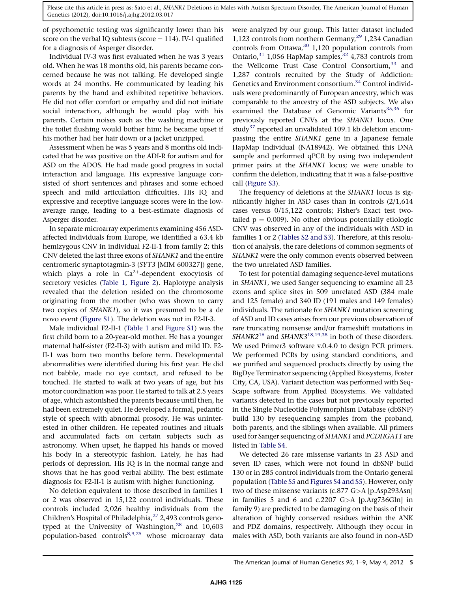of psychometric testing was significantly lower than his score on the verbal IQ subtests (score  $= 114$ ). IV-1 qualified for a diagnosis of Asperger disorder.

Individual IV-3 was first evaluated when he was 3 years old. When he was 18 months old, his parents became concerned because he was not talking. He developed single words at 24 months. He communicated by leading his parents by the hand and exhibited repetitive behaviors. He did not offer comfort or empathy and did not initiate social interaction, although he would play with his parents. Certain noises such as the washing machine or the toilet flushing would bother him; he became upset if his mother had her hair down or a jacket unzipped.

Assessment when he was 5 years and 8 months old indicated that he was positive on the ADI-R for autism and for ASD on the ADOS. He had made good progress in social interaction and language. His expressive language consisted of short sentences and phrases and some echoed speech and mild articulation difficulties. His IQ and expressive and receptive language scores were in the lowaverage range, leading to a best-estimate diagnosis of Asperger disorder.

In separate microarray experiments examining 456 ASDaffected individuals from Europe, we identified a 63.4 kb hemizygous CNV in individual F2-II-1 from family 2; this CNV deleted the last three exons of SHANK1 and the entire centromeric synaptotagmin-3 (SYT3 [MIM 600327]) gene, which plays a role in  $Ca^{2+}$ -dependent exocytosis of secretory vesicles [\(Table 1,](#page-2-0) [Figure 2\)](#page-3-0). Haplotype analysis revealed that the deletion resided on the chromosome originating from the mother (who was shown to carry two copies of SHANK1), so it was presumed to be a de novo event [\(Figure S1\)](#page-6-0). The deletion was not in F2-II-3.

Male individual F2-II-1 [\(Table 1](#page-2-0) and [Figure S1](#page-6-0)) was the first child born to a 20-year-old mother. He has a younger maternal half-sister (F2-II-3) with autism and mild ID. F2- II-1 was born two months before term. Developmental abnormalities were identified during his first year. He did not babble, made no eye contact, and refused to be touched. He started to walk at two years of age, but his motor coordination was poor. He started to talk at 2.5 years of age, which astonished the parents because until then, he had been extremely quiet. He developed a formal, pedantic style of speech with abnormal prosody. He was uninterested in other children. He repeated routines and rituals and accumulated facts on certain subjects such as astronomy. When upset, he flapped his hands or moved his body in a stereotypic fashion. Lately, he has had periods of depression. His IQ is in the normal range and shows that he has good verbal ability. The best estimate diagnosis for F2-II-1 is autism with higher functioning.

No deletion equivalent to those described in families 1 or 2 was observed in 15,122 control individuals. These controls included 2,026 healthy individuals from the Children's Hospital of Philadelphia, $^{27}$  $^{27}$  $^{27}$  2,493 controls genotyped at the University of Washington, $^{28}$  $^{28}$  $^{28}$  and 10,603 population-based controls $8,9,25$  whose microarray data

were analyzed by our group. This latter dataset included 1,123 controls from northern Germany, $^{29}$  1,234 Canadian controls from Ottawa, $30$  1,120 population controls from Ontario, $31$  1,056 HapMap samples, $32$  4,783 controls from the Wellcome Trust Case Control Consortium,<sup>[33](#page-7-0)</sup> and 1,287 controls recruited by the Study of Addiction: Genetics and Environment consortium.<sup>[34](#page-7-0)</sup> Control individuals were predominantly of European ancestry, which was comparable to the ancestry of the ASD subjects. We also examined the Database of Genomic Variants<sup>35,36</sup> for previously reported CNVs at the SHANK1 locus. One study<sup>37</sup> reported an unvalidated 109.1 kb deletion encompassing the entire SHANK1 gene in a Japanese female HapMap individual (NA18942). We obtained this DNA sample and performed qPCR by using two independent primer pairs at the SHANK1 locus; we were unable to confirm the deletion, indicating that it was a false-positive call [\(Figure S3\)](#page-6-0).

The frequency of deletions at the SHANK1 locus is significantly higher in ASD cases than in controls (2/1,614 cases versus 0/15,122 controls; Fisher's Exact test twotailed  $p = 0.009$ ). No other obvious potentially etiologic CNV was observed in any of the individuals with ASD in families 1 or 2 [\(Tables S2 and S3\)](#page-6-0). Therefore, at this resolution of analysis, the rare deletions of common segments of SHANK1 were the only common events observed between the two unrelated ASD families.

To test for potential damaging sequence-level mutations in SHANK1, we used Sanger sequencing to examine all 23 exons and splice sites in 509 unrelated ASD (384 male and 125 female) and 340 ID (191 males and 149 females) individuals. The rationale for SHANK1 mutation screening of ASD and ID cases arises from our previous observation of rare truncating nonsense and/or frameshift mutations in  $SHANK2^{16}$  $SHANK2^{16}$  $SHANK2^{16}$  and  $SHANK3^{18,19,38}$  $SHANK3^{18,19,38}$  $SHANK3^{18,19,38}$  in both of these disorders. We used Primer3 software v.0.4.0 to design PCR primers. We performed PCRs by using standard conditions, and we purified and sequenced products directly by using the BigDye Terminator sequencing (Applied Biosystems, Foster City, CA, USA). Variant detection was performed with Seq-Scape software from Applied Biosystems. We validated variants detected in the cases but not previously reported in the Single Nucleotide Polymorphism Database (dbSNP) build 130 by resequencing samples from the proband, both parents, and the siblings when available. All primers used for Sanger sequencing of SHANK1 and PCDHGA11 are listed in [Table S4](#page-6-0).

We detected 26 rare missense variants in 23 ASD and seven ID cases, which were not found in dbSNP build 130 or in 285 control individuals from the Ontario general population [\(Table S5](#page-6-0) and [Figures S4 and S5\)](#page-6-0). However, only two of these missense variants (c.877 G>A [p.Asp293Asn] in families 5 and 6 and c.2207 G>A [p.Arg736Gln] in family 9) are predicted to be damaging on the basis of their alteration of highly conserved residues within the ANK and PDZ domains, respectively. Although they occur in males with ASD, both variants are also found in non-ASD

The American Journal of Human Genetics 90, 1–9, May 4, 2012 5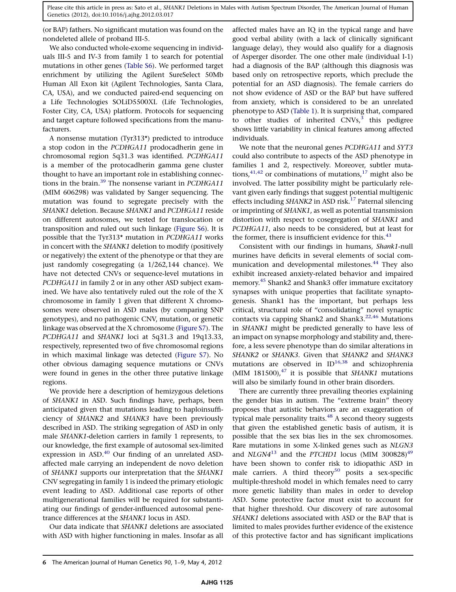(or BAP) fathers. No significant mutation was found on the nondeleted allele of proband III-5.

We also conducted whole-exome sequencing in individuals III-5 and IV-3 from family 1 to search for potential mutations in other genes [\(Table S6](#page-6-0)). We performed target enrichment by utilizing the Agilent SureSelect 50Mb Human All Exon kit (Agilent Technologies, Santa Clara, CA, USA), and we conducted paired-end sequencing on a Life Technologies SOLiD5500XL (Life Technologies, Foster City, CA, USA) platform. Protocols for sequencing and target capture followed specifications from the manufacturers.

A nonsense mutation (Tyr313\*) predicted to introduce a stop codon in the PCDHGA11 prodocadherin gene in chromosomal region 5q31.3 was identified. PCDHGA11 is a member of the protocadherin gamma gene cluster thought to have an important role in establishing connec-tions in the brain.<sup>[39](#page-7-0)</sup> The nonsense variant in  $PCDHGA11$ (MIM 606298) was validated by Sanger sequencing. The mutation was found to segregate precisely with the SHANK1 deletion. Because SHANK1 and PCDHGA11 reside on different autosomes, we tested for translocation or transposition and ruled out such linkage ([Figure S6\)](#page-6-0). It is possible that the Tyr313\* mutation in PCDHGA11 works in concert with the SHANK1 deletion to modify (positively or negatively) the extent of the phenotype or that they are just randomly cosegregating (a 1/262,144 chance). We have not detected CNVs or sequence-level mutations in PCDHGA11 in family 2 or in any other ASD subject examined. We have also tentatively ruled out the role of the X chromosome in family 1 given that different X chromosomes were observed in ASD males (by comparing SNP genotypes), and no pathogenic CNV, mutation, or genetic linkage was observed at the X chromosome ([Figure S7](#page-6-0)). The PCDHGA11 and SHANK1 loci at 5q31.3 and 19q13.33, respectively, represented two of five chromosomal regions in which maximal linkage was detected ([Figure S7](#page-6-0)). No other obvious damaging sequence mutations or CNVs were found in genes in the other three putative linkage regions.

We provide here a description of hemizygous deletions of SHANK1 in ASD. Such findings have, perhaps, been anticipated given that mutations leading to haploinsufficiency of SHANK2 and SHANK3 have been previously described in ASD. The striking segregation of ASD in only male SHANK1-deletion carriers in family 1 represents, to our knowledge, the first example of autosomal sex-limited expression in ASD.<sup>40</sup> Our finding of an unrelated ASDaffected male carrying an independent de novo deletion of SHANK1 supports our interpretation that the SHANK1 CNV segregating in family 1 is indeed the primary etiologic event leading to ASD. Additional case reports of other multigenerational families will be required for substantiating our findings of gender-influenced autosomal penetrance differences at the SHANK1 locus in ASD.

Our data indicate that SHANK1 deletions are associated with ASD with higher functioning in males. Insofar as all affected males have an IQ in the typical range and have good verbal ability (with a lack of clinically significant language delay), they would also qualify for a diagnosis of Asperger disorder. The one other male (individual I-1) had a diagnosis of the BAP (although this diagnosis was based only on retrospective reports, which preclude the potential for an ASD diagnosis). The female carriers do not show evidence of ASD or the BAP but have suffered from anxiety, which is considered to be an unrelated phenotype to ASD ([Table 1\)](#page-2-0). It is surprising that, compared to other studies of inherited  $CNVs<sub>1</sub><sup>3</sup>$  $CNVs<sub>1</sub><sup>3</sup>$  $CNVs<sub>1</sub><sup>3</sup>$  this pedigree shows little variability in clinical features among affected individuals.

We note that the neuronal genes PCDHGA11 and SYT3 could also contribute to aspects of the ASD phenotype in families 1 and 2, respectively. Moreover, subtler mutations,  $41,42$  or combinations of mutations,  $17$  might also be involved. The latter possibility might be particularly relevant given early findings that suggest potential multigenic effects including SHANK2 in ASD risk.<sup>17</sup> Paternal silencing or imprinting of SHANK1, as well as potential transmission distortion with respect to cosegregation of SHANK1 and PCDHGA11, also needs to be considered, but at least for the former, there is insufficient evidence for this. $43$ 

Consistent with our findings in humans, Shank1-null murines have deficits in several elements of social com-munication and developmental milestones.<sup>[44](#page-8-0)</sup> They also exhibit increased anxiety-related behavior and impaired memory.<sup>[45](#page-8-0)</sup> Shank2 and Shank3 offer immature excitatory synapses with unique properties that facilitate synaptogenesis. Shank1 has the important, but perhaps less critical, structural role of ''consolidating'' novel synaptic contacts via capping Shank2 and Shank3.<sup>22,46</sup> Mutations in SHANK1 might be predicted generally to have less of an impact on synapse morphology and stability and, therefore, a less severe phenotype than do similar alterations in SHANK2 or SHANK3. Given that SHANK2 and SHANK3 mutations are observed in  $ID^{16,38}$  $ID^{16,38}$  $ID^{16,38}$  and schizophrenia (MIM 181500), $47$  it is possible that SHANK1 mutations will also be similarly found in other brain disorders.

There are currently three prevailing theories explaining the gender bias in autism. The ''extreme brain'' theory proposes that autistic behaviors are an exaggeration of typical male personality traits.<sup>[48](#page-8-0)</sup> A second theory suggests that given the established genetic basis of autism, it is possible that the sex bias lies in the sex chromosomes. Rare mutations in some X-linked genes such as NLGN3 and  $NLGN4^{13}$  $NLGN4^{13}$  $NLGN4^{13}$  and the PTCHD1 locus (MIM 300828)<sup>[49](#page-8-0)</sup> have been shown to confer risk to idiopathic ASD in male carriers. A third theory<sup>50</sup> posits a sex-specific multiple-threshold model in which females need to carry more genetic liability than males in order to develop ASD. Some protective factor must exist to account for that higher threshold. Our discovery of rare autosomal SHANK1 deletions associated with ASD or the BAP that is limited to males provides further evidence of the existence of this protective factor and has significant implications

<sup>6</sup> The American Journal of Human Genetics 90, 1–9, May 4, 2012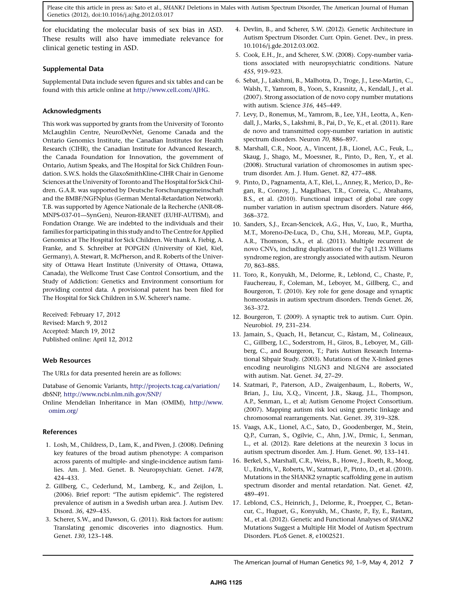<span id="page-6-0"></span>for elucidating the molecular basis of sex bias in ASD. These results will also have immediate relevance for clinical genetic testing in ASD.

#### Supplemental Data

Supplemental Data include seven figures and six tables and can be found with this article online at <http://www.cell.com/AJHG>.

#### Acknowledgments

This work was supported by grants from the University of Toronto McLaughlin Centre, NeuroDevNet, Genome Canada and the Ontario Genomics Institute, the Canadian Institutes for Health Research (CIHR), the Canadian Institute for Advanced Research, the Canada Foundation for Innovation, the government of Ontario, Autism Speaks, and The Hospital for Sick Children Foundation. S.W.S. holds the GlaxoSmithKline-CIHR Chair in Genome Sciences at the University of Toronto and The Hospital for Sick Children. G.A.R. was supported by Deutsche Forschungsgemeinschaft and the BMBF/NGFNplus (German Mental-Retardation Network). T.B. was supported by Agence Nationale de la Recherche (ANR-08- MNPS-037-01—SynGen), Neuron-ERANET (EUHF-AUTISM), and Fondation Orange. We are indebted to the individuals and their families for participating in this study and to The Centre for Applied Genomics at The Hospital for Sick Children. We thank A. Fiebig, A. Franke, and S. Schreiber at POPGEN (University of Kiel, Kiel, Germany), A. Stewart, R. McPherson, and R. Roberts of the University of Ottawa Heart Institute (University of Ottawa, Ottawa, Canada), the Wellcome Trust Case Control Consortium, and the Study of Addiction: Genetics and Environment consortium for providing control data. A provisional patent has been filed for The Hospital for Sick Children in S.W. Scherer's name.

Received: February 17, 2012 Revised: March 9, 2012 Accepted: March 19, 2012 Published online: April 12, 2012

### Web Resources

The URLs for data presented herein are as follows:

Database of Genomic Variants, <http://projects.tcag.ca/variation/> dbSNP, <http://www.ncbi.nlm.nih.gov/SNP/>

Online Mendelian Inheritance in Man (OMIM), [http://www.](http://www.omim.org/) [omim.org/](http://www.omim.org/)

### **References**

- 1. Losh, M., Childress, D., Lam, K., and Piven, J. (2008). Defining key features of the broad autism phenotype: A comparison across parents of multiple- and single-incidence autism families. Am. J. Med. Genet. B. Neuropsychiatr. Genet. 147B, 424–433.
- 2. Gillberg, C., Cederlund, M., Lamberg, K., and Zeijlon, L. (2006). Brief report: ''The autism epidemic''. The registered prevalence of autism in a Swedish urban area. J. Autism Dev. Disord. 36, 429–435.
- 3. Scherer, S.W., and Dawson, G. (2011). Risk factors for autism: Translating genomic discoveries into diagnostics. Hum. Genet. 130, 123–148.
- 4. Devlin, B., and Scherer, S.W. (2012). Genetic Architecture in Autism Spectrum Disorder. Curr. Opin. Genet. Dev., in press. 10.1016/j.gde.2012.03.002.
- 5. Cook, E.H., Jr., and Scherer, S.W. (2008). Copy-number variations associated with neuropsychiatric conditions. Nature 455, 919–923.
- 6. Sebat, J., Lakshmi, B., Malhotra, D., Troge, J., Lese-Martin, C., Walsh, T., Yamrom, B., Yoon, S., Krasnitz, A., Kendall, J., et al. (2007). Strong association of de novo copy number mutations with autism. Science 316, 445–449.
- 7. Levy, D., Ronemus, M., Yamrom, B., Lee, Y.H., Leotta, A., Kendall, J., Marks, S., Lakshmi, B., Pai, D., Ye, K., et al. (2011). Rare de novo and transmitted copy-number variation in autistic spectrum disorders. Neuron 70, 886–897.
- 8. Marshall, C.R., Noor, A., Vincent, J.B., Lionel, A.C., Feuk, L., Skaug, J., Shago, M., Moessner, R., Pinto, D., Ren, Y., et al. (2008). Structural variation of chromosomes in autism spectrum disorder. Am. J. Hum. Genet. 82, 477–488.
- 9. Pinto, D., Pagnamenta, A.T., Klei, L., Anney, R., Merico, D., Regan, R., Conroy, J., Magalhaes, T.R., Correia, C., Abrahams, B.S., et al. (2010). Functional impact of global rare copy number variation in autism spectrum disorders. Nature 466, 368–372.
- 10. Sanders, S.J., Ercan-Sencicek, A.G., Hus, V., Luo, R., Murtha, M.T., Moreno-De-Luca, D., Chu, S.H., Moreau, M.P., Gupta, A.R., Thomson, S.A., et al. (2011). Multiple recurrent de novo CNVs, including duplications of the 7q11.23 Williams syndrome region, are strongly associated with autism. Neuron 70, 863–885.
- 11. Toro, R., Konyukh, M., Delorme, R., Leblond, C., Chaste, P., Fauchereau, F., Coleman, M., Leboyer, M., Gillberg, C., and Bourgeron, T. (2010). Key role for gene dosage and synaptic homeostasis in autism spectrum disorders. Trends Genet. 26, 363–372.
- 12. Bourgeron, T. (2009). A synaptic trek to autism. Curr. Opin. Neurobiol. 19, 231–234.
- 13. Jamain, S., Quach, H., Betancur, C., Råstam, M., Colineaux, C., Gillberg, I.C., Soderstrom, H., Giros, B., Leboyer, M., Gillberg, C., and Bourgeron, T.; Paris Autism Research International Sibpair Study. (2003). Mutations of the X-linked genes encoding neuroligins NLGN3 and NLGN4 are associated with autism. Nat. Genet. 34, 27–29.
- 14. Szatmari, P., Paterson, A.D., Zwaigenbaum, L., Roberts, W., Brian, J., Liu, X.Q., Vincent, J.B., Skaug, J.L., Thompson, A.P., Senman, L., et al; Autism Genome Project Consortium. (2007). Mapping autism risk loci using genetic linkage and chromosomal rearrangements. Nat. Genet. 39, 319–328.
- 15. Vaags, A.K., Lionel, A.C., Sato, D., Goodenberger, M., Stein, Q.P., Curran, S., Ogilvie, C., Ahn, J.W., Drmic, I., Senman, L., et al. (2012). Rare deletions at the neurexin 3 locus in autism spectrum disorder. Am. J. Hum. Genet. 90, 133–141.
- 16. Berkel, S., Marshall, C.R., Weiss, B., Howe, J., Roeth, R., Moog, U., Endris, V., Roberts, W., Szatmari, P., Pinto, D., et al. (2010). Mutations in the SHANK2 synaptic scaffolding gene in autism spectrum disorder and mental retardation. Nat. Genet. 42, 489–491.
- 17. Leblond, C.S., Heinrich, J., Delorme, R., Proepper, C., Betancur, C., Huguet, G., Konyukh, M., Chaste, P., Ey, E., Rastam, M., et al. (2012). Genetic and Functional Analyses of SHANK2 Mutations Suggest a Multiple Hit Model of Autism Spectrum Disorders. PLoS Genet. 8, e1002521.

The American Journal of Human Genetics 90, 1–9, May 4, 2012 7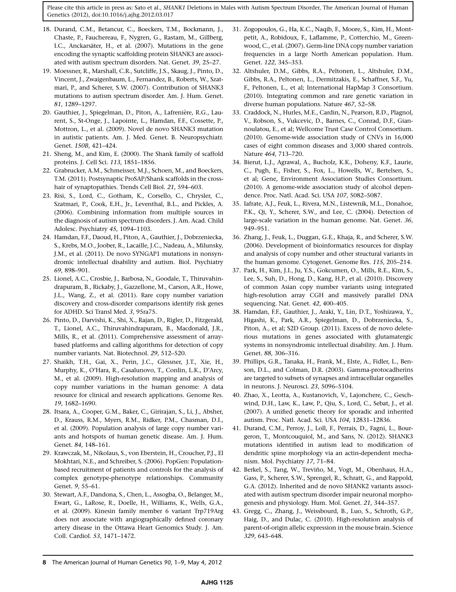- <span id="page-7-0"></span>18. Durand, C.M., Betancur, C., Boeckers, T.M., Bockmann, J., Chaste, P., Fauchereau, F., Nygren, G., Rastam, M., Gillberg, I.C., Anckarsäter, H., et al. (2007). Mutations in the gene encoding the synaptic scaffolding protein SHANK3 are associated with autism spectrum disorders. Nat. Genet. 39, 25–27.
- 19. Moessner, R., Marshall, C.R., Sutcliffe, J.S., Skaug, J., Pinto, D., Vincent, J., Zwaigenbaum, L., Fernandez, B., Roberts, W., Szatmari, P., and Scherer, S.W. (2007). Contribution of SHANK3 mutations to autism spectrum disorder. Am. J. Hum. Genet. 81, 1289–1297.
- 20. Gauthier, J., Spiegelman, D., Piton, A., Lafrenière, R.G., Laurent, S., St-Onge, J., Lapointe, L., Hamdan, F.F., Cossette, P., Mottron, L., et al. (2009). Novel de novo SHANK3 mutation in autistic patients. Am. J. Med. Genet. B. Neuropsychiatr. Genet. 150B, 421–424.
- 21. Sheng, M., and Kim, E. (2000). The Shank family of scaffold proteins. J. Cell Sci. 113, 1851–1856.
- 22. Grabrucker, A.M., Schmeisser, M.J., Schoen, M., and Boeckers, T.M. (2011). Postsynaptic ProSAP/Shank scaffolds in the crosshair of synaptopathies. Trends Cell Biol. 21, 594–603.
- 23. Risi, S., Lord, C., Gotham, K., Corsello, C., Chrysler, C., Szatmari, P., Cook, E.H., Jr., Leventhal, B.L., and Pickles, A. (2006). Combining information from multiple sources in the diagnosis of autism spectrum disorders. J. Am. Acad. Child Adolesc. Psychiatry 45, 1094–1103.
- 24. Hamdan, F.F., Daoud, H., Piton, A., Gauthier, J., Dobrzeniecka, S., Krebs, M.O., Joober, R., Lacaille, J.C., Nadeau, A., Milunsky, J.M., et al. (2011). De novo SYNGAP1 mutations in nonsyndromic intellectual disability and autism. Biol. Psychiatry 69, 898–901.
- 25. Lionel, A.C., Crosbie, J., Barbosa, N., Goodale, T., Thiruvahindrapuram, B., Rickaby, J., Gazzellone, M., Carson, A.R., Howe, J.L., Wang, Z., et al. (2011). Rare copy number variation discovery and cross-disorder comparisons identify risk genes for ADHD. Sci Transl Med. 3, 95ra75.
- 26. Pinto, D., Darvishi, K., Shi, X., Rajan, D., Rigler, D., Fitzgerald, T., Lionel, A.C., Thiruvahindrapuram, B., Macdonald, J.R., Mills, R., et al. (2011). Comprehensive assessment of arraybased platforms and calling algorithms for detection of copy number variants. Nat. Biotechnol. 29, 512–520.
- 27. Shaikh, T.H., Gai, X., Perin, J.C., Glessner, J.T., Xie, H., Murphy, K., O'Hara, R., Casalunovo, T., Conlin, L.K., D'Arcy, M., et al. (2009). High-resolution mapping and analysis of copy number variations in the human genome: A data resource for clinical and research applications. Genome Res. 19, 1682–1690.
- 28. Itsara, A., Cooper, G.M., Baker, C., Girirajan, S., Li, J., Absher, D., Krauss, R.M., Myers, R.M., Ridker, P.M., Chasman, D.I., et al. (2009). Population analysis of large copy number variants and hotspots of human genetic disease. Am. J. Hum. Genet. 84, 148–161.
- 29. Krawczak, M., Nikolaus, S., von Eberstein, H., Croucher, P.J., El Mokhtari, N.E., and Schreiber, S. (2006). PopGen: Populationbased recruitment of patients and controls for the analysis of complex genotype-phenotype relationships. Community Genet. 9, 55–61.
- 30. Stewart, A.F., Dandona, S., Chen, L., Assogba, O., Belanger, M., Ewart, G., LaRose, R., Doelle, H., Williams, K., Wells, G.A., et al. (2009). Kinesin family member 6 variant Trp719Arg does not associate with angiographically defined coronary artery disease in the Ottawa Heart Genomics Study. J. Am. Coll. Cardiol. 53, 1471–1472.
- 31. Zogopoulos, G., Ha, K.C., Naqib, F., Moore, S., Kim, H., Montpetit, A., Robidoux, F., Laflamme, P., Cotterchio, M., Greenwood, C., et al. (2007). Germ-line DNA copy number variation frequencies in a large North American population. Hum. Genet. 122, 345–353.
- 32. Altshuler, D.M., Gibbs, R.A., Peltonen, L., Altshuler, D.M., Gibbs, R.A., Peltonen, L., Dermitzakis, E., Schaffner, S.F., Yu, F., Peltonen, L., et al; International HapMap 3 Consortium. (2010). Integrating common and rare genetic variation in diverse human populations. Nature 467, 52–58.
- 33. Craddock, N., Hurles, M.E., Cardin, N., Pearson, R.D., Plagnol, V., Robson, S., Vukcevic, D., Barnes, C., Conrad, D.F., Giannoulatou, E., et al; Wellcome Trust Case Control Consortium. (2010). Genome-wide association study of CNVs in 16,000 cases of eight common diseases and 3,000 shared controls. Nature 464, 713–720.
- 34. Bierut, L.J., Agrawal, A., Bucholz, K.K., Doheny, K.F., Laurie, C., Pugh, E., Fisher, S., Fox, L., Howells, W., Bertelsen, S., et al; Gene, Environment Association Studies Consortium. (2010). A genome-wide association study of alcohol dependence. Proc. Natl. Acad. Sci. USA 107, 5082–5087.
- 35. Iafrate, A.J., Feuk, L., Rivera, M.N., Listewnik, M.L., Donahoe, P.K., Qi, Y., Scherer, S.W., and Lee, C. (2004). Detection of large-scale variation in the human genome. Nat. Genet. 36, 949–951.
- 36. Zhang, J., Feuk, L., Duggan, G.E., Khaja, R., and Scherer, S.W. (2006). Development of bioinformatics resources for display and analysis of copy number and other structural variants in the human genome. Cytogenet. Genome Res. 115, 205–214.
- 37. Park, H., Kim, J.I., Ju, Y.S., Gokcumen, O., Mills, R.E., Kim, S., Lee, S., Suh, D., Hong, D., Kang, H.P., et al. (2010). Discovery of common Asian copy number variants using integrated high-resolution array CGH and massively parallel DNA sequencing. Nat. Genet. 42, 400–405.
- 38. Hamdan, F.F., Gauthier, J., Araki, Y., Lin, D.T., Yoshizawa, Y., Higashi, K., Park, A.R., Spiegelman, D., Dobrzeniecka, S., Piton, A., et al; S2D Group. (2011). Excess of de novo deleterious mutations in genes associated with glutamatergic systems in nonsyndromic intellectual disability. Am. J. Hum. Genet. 88, 306–316.
- 39. Phillips, G.R., Tanaka, H., Frank, M., Elste, A., Fidler, L., Benson, D.L., and Colman, D.R. (2003). Gamma-protocadherins are targeted to subsets of synapses and intracellular organelles in neurons. J. Neurosci. 23, 5096–5104.
- 40. Zhao, X., Leotta, A., Kustanovich, V., Lajonchere, C., Geschwind, D.H., Law, K., Law, P., Qiu, S., Lord, C., Sebat, J., et al. (2007). A unified genetic theory for sporadic and inherited autism. Proc. Natl. Acad. Sci. USA 104, 12831–12836.
- 41. Durand, C.M., Perroy, J., Loll, F., Perrais, D., Fagni, L., Bourgeron, T., Montcouquiol, M., and Sans, N. (2012). SHANK3 mutations identified in autism lead to modification of dendritic spine morphology via an actin-dependent mechanism. Mol. Psychiatry 17, 71–84.
- 42. Berkel, S., Tang, W., Treviño, M., Vogt, M., Obenhaus, H.A., Gass, P., Scherer, S.W., Sprengel, R., Schratt, G., and Rappold, G.A. (2012). Inherited and de novo SHANK2 variants associated with autism spectrum disorder impair neuronal morphogenesis and physiology. Hum. Mol. Genet. 21, 344–357.
- 43. Gregg, C., Zhang, J., Weissbourd, B., Luo, S., Schroth, G.P., Haig, D., and Dulac, C. (2010). High-resolution analysis of parent-of-origin allelic expression in the mouse brain. Science 329, 643–648.

<sup>8</sup> The American Journal of Human Genetics 90, 1–9, May 4, 2012